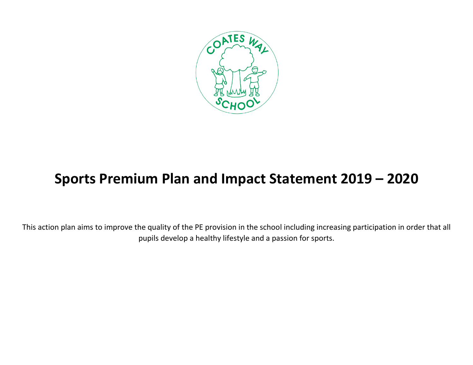

## **Sports Premium Plan and Impact Statement 2019 – 2020**

This action plan aims to improve the quality of the PE provision in the school including increasing participation in order that all pupils develop a healthy lifestyle and a passion for sports.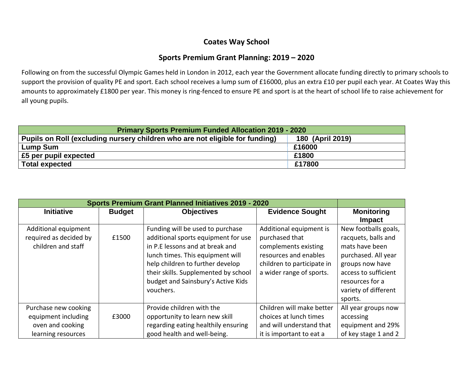## **Coates Way School**

## **Sports Premium Grant Planning: 2019 – 2020**

Following on from the successful Olympic Games held in London in 2012, each year the Government allocate funding directly to primary schools to support the provision of quality PE and sport. Each school receives a lump sum of £16000, plus an extra £10 per pupil each year. At Coates Way this amounts to approximately £1800 per year. This money is ring-fenced to ensure PE and sport is at the heart of school life to raise achievement for all young pupils.

| <b>Primary Sports Premium Funded Allocation 2019 - 2020</b>                  |                  |  |  |  |
|------------------------------------------------------------------------------|------------------|--|--|--|
| Pupils on Roll (excluding nursery children who are not eligible for funding) | 180 (April 2019) |  |  |  |
| <b>Lump Sum</b>                                                              | £16000           |  |  |  |
| £5 per pupil expected                                                        | £1800            |  |  |  |
| <b>Total expected</b>                                                        | £17800           |  |  |  |

| <b>Initiative</b><br><b>Budget</b><br><b>Objectives</b>                                                                                                                                                                                                                                                                                                        | <b>Monitoring</b><br><b>Evidence Sought</b><br><b>Impact</b>                                                                                                                                                                                                                                                                                  |
|----------------------------------------------------------------------------------------------------------------------------------------------------------------------------------------------------------------------------------------------------------------------------------------------------------------------------------------------------------------|-----------------------------------------------------------------------------------------------------------------------------------------------------------------------------------------------------------------------------------------------------------------------------------------------------------------------------------------------|
|                                                                                                                                                                                                                                                                                                                                                                |                                                                                                                                                                                                                                                                                                                                               |
| Funding will be used to purchase<br>Additional equipment<br>required as decided by<br>additional sports equipment for use<br>£1500<br>children and staff<br>in P.E lessons and at break and<br>lunch times. This equipment will<br>help children to further develop<br>their skills. Supplemented by school<br>budget and Sainsbury's Active Kids<br>vouchers. | New footballs goals,<br>Additional equipment is<br>purchased that<br>racquets, balls and<br>complements existing<br>mats have been<br>resources and enables<br>purchased. All year<br>children to participate in<br>groups now have<br>a wider range of sports.<br>access to sufficient<br>resources for a<br>variety of different<br>sports. |
| Provide children with the<br>Purchase new cooking<br>equipment including<br>opportunity to learn new skill<br>£3000                                                                                                                                                                                                                                            | Children will make better<br>All year groups now<br>choices at lunch times<br>accessing                                                                                                                                                                                                                                                       |
| regarding eating healthily ensuring<br>oven and cooking<br>good health and well-being.<br>learning resources                                                                                                                                                                                                                                                   | and will understand that<br>equipment and 29%<br>of key stage 1 and 2<br>it is important to eat a                                                                                                                                                                                                                                             |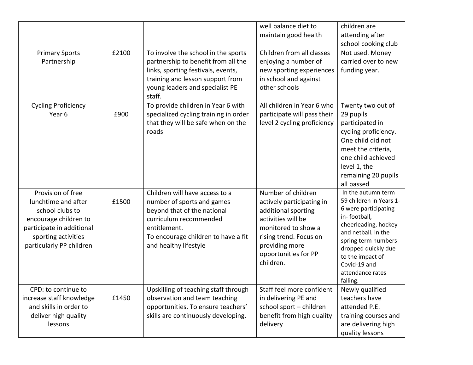|                                                                                                                                                                      |       |                                                                                                                                                                                                       | well balance diet to<br>maintain good health                                                                                                                                                         | children are<br>attending after<br>school cooking club                                                                                                                                                                                                 |
|----------------------------------------------------------------------------------------------------------------------------------------------------------------------|-------|-------------------------------------------------------------------------------------------------------------------------------------------------------------------------------------------------------|------------------------------------------------------------------------------------------------------------------------------------------------------------------------------------------------------|--------------------------------------------------------------------------------------------------------------------------------------------------------------------------------------------------------------------------------------------------------|
| <b>Primary Sports</b><br>Partnership                                                                                                                                 | £2100 | To involve the school in the sports<br>partnership to benefit from all the<br>links, sporting festivals, events,<br>training and lesson support from<br>young leaders and specialist PE<br>staff.     | Children from all classes<br>enjoying a number of<br>new sporting experiences<br>in school and against<br>other schools                                                                              | Not used. Money<br>carried over to new<br>funding year.                                                                                                                                                                                                |
| <b>Cycling Proficiency</b><br>Year <sub>6</sub>                                                                                                                      | £900  | To provide children in Year 6 with<br>specialized cycling training in order<br>that they will be safe when on the<br>roads                                                                            | All children in Year 6 who<br>participate will pass their<br>level 2 cycling proficiency                                                                                                             | Twenty two out of<br>29 pupils<br>participated in<br>cycling proficiency.<br>One child did not<br>meet the criteria,<br>one child achieved<br>level 1, the<br>remaining 20 pupils<br>all passed                                                        |
| Provision of free<br>lunchtime and after<br>school clubs to<br>encourage children to<br>participate in additional<br>sporting activities<br>particularly PP children | £1500 | Children will have access to a<br>number of sports and games<br>beyond that of the national<br>curriculum recommended<br>entitlement.<br>To encourage children to have a fit<br>and healthy lifestyle | Number of children<br>actively participating in<br>additional sporting<br>activities will be<br>monitored to show a<br>rising trend. Focus on<br>providing more<br>opportunities for PP<br>children. | In the autumn term<br>59 children in Years 1-<br>6 were participating<br>in-football,<br>cheerleading, hockey<br>and netball. In the<br>spring term numbers<br>dropped quickly due<br>to the impact of<br>Covid-19 and<br>attendance rates<br>falling. |
| CPD: to continue to<br>increase staff knowledge<br>and skills in order to<br>deliver high quality<br>lessons                                                         | £1450 | Upskilling of teaching staff through<br>observation and team teaching<br>opportunities. To ensure teachers'<br>skills are continuously developing.                                                    | Staff feel more confident<br>in delivering PE and<br>school sport - children<br>benefit from high quality<br>delivery                                                                                | Newly qualified<br>teachers have<br>attended P.E.<br>training courses and<br>are delivering high<br>quality lessons                                                                                                                                    |